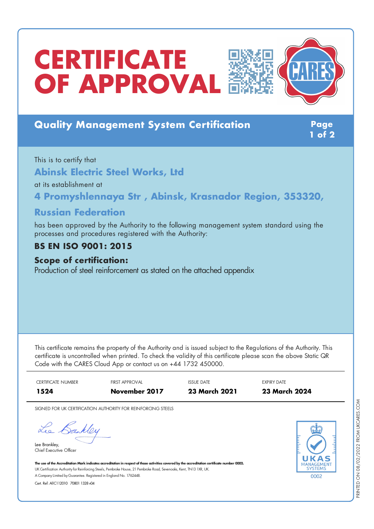# **CERTIFICATE OF APPROVAL**



## **Quality Management System Certification Page**

**1 of 2**

This is to certify that **Abinsk Electric Steel Works, Ltd**

at its establishment at

**4 Promyshlennaya Str , Abinsk, Krasnador Region, 353320,**

## **Russian Federation**

has been approved by the Authority to the following management system standard using the processes and procedures registered with the Authority:

## **BS EN ISO 9001: 2015**

#### **Scope of certification:**

Production of steel reinforcement as stated on the attached appendix

This certificate remains the property of the Authority and is issued subject to the Regulations of the Authority. This certificate is uncontrolled when printed. To check the validity of this certificate please scan the above Static QR Code with the CARES Cloud App or contact us on +44 1732 450000.



SIGNED FOR UK CERTIFICATION AUTHORITY FOR REINFORCING STEELS

Lee Bankley

Lee Brankley, Chief Executive Officer 0002

The use of the Accreditation Mark indicates accreditation in respect of those activities covered by the accreditation certificate number 0002. UK Certification Authority for Reinforcing Steels, Pembroke House, 21 Pembroke Road, Sevenoaks, Kent, TN13 1XR, UK. A CompanyLimited byGuarantee. Registered in England No. 1762448.

Cert. Ref: AllC112010 70801 1328 v04